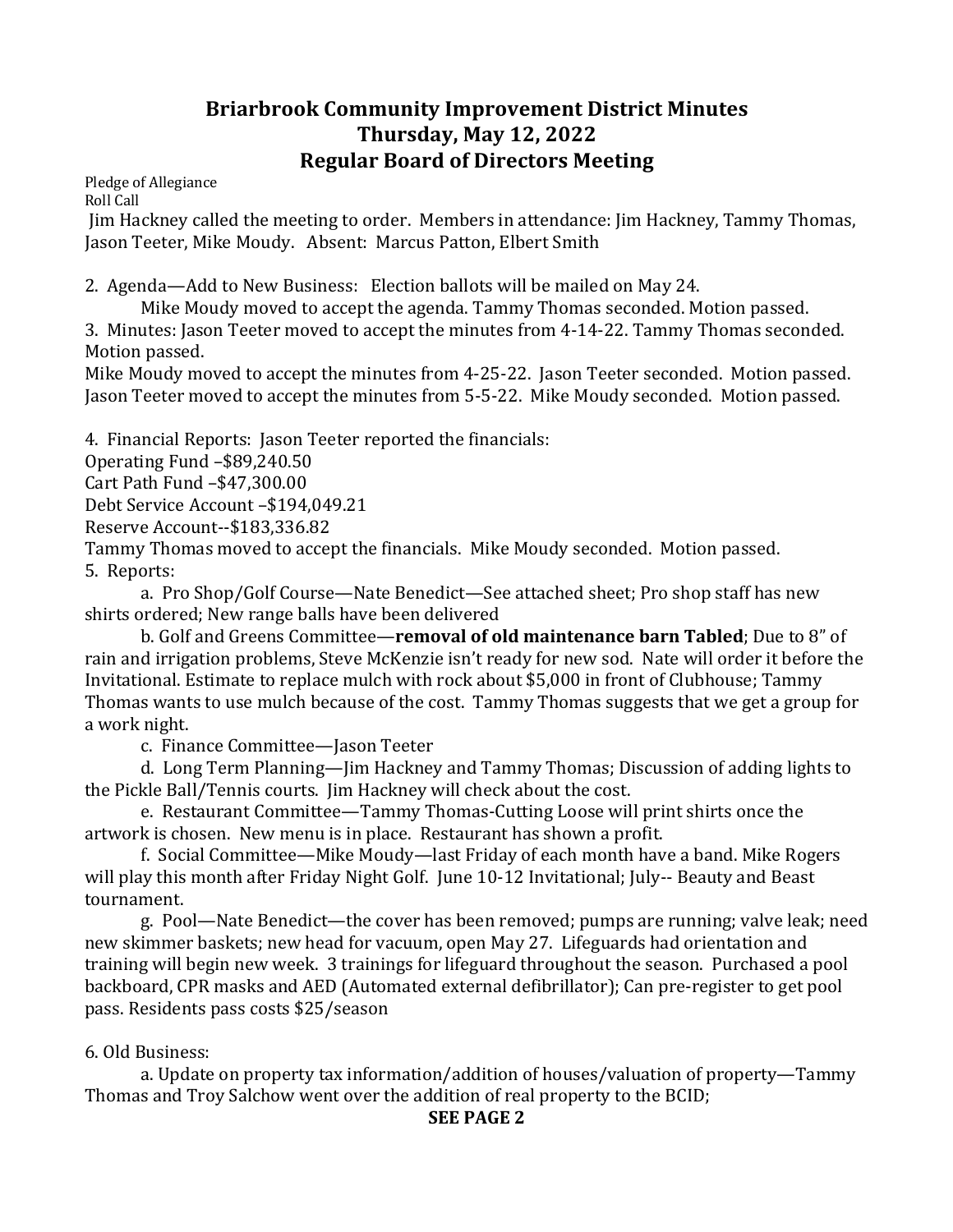## **Briarbrook Community Improvement District Minutes Thursday, May 12, 2022 Regular Board of Directors Meeting**

Pledge of Allegiance Roll Call

Jim Hackney called the meeting to order. Members in attendance: Jim Hackney, Tammy Thomas, Jason Teeter, Mike Moudy. Absent: Marcus Patton, Elbert Smith

2. Agenda—Add to New Business: Election ballots will be mailed on May 24.

Mike Moudy moved to accept the agenda. Tammy Thomas seconded. Motion passed.

3. Minutes: Jason Teeter moved to accept the minutes from 4-14-22. Tammy Thomas seconded. Motion passed.

Mike Moudy moved to accept the minutes from 4-25-22. Jason Teeter seconded. Motion passed. Jason Teeter moved to accept the minutes from 5-5-22. Mike Moudy seconded. Motion passed.

4. Financial Reports: Jason Teeter reported the financials:

Operating Fund -\$89,240.50

Cart Path Fund –\$47,300.00

Debt Service Account -\$194,049.21

Reserve Account--\$183,336.82

Tammy Thomas moved to accept the financials. Mike Moudy seconded. Motion passed. 5. Reports:

a. Pro Shop/Golf Course—Nate Benedict—See attached sheet; Pro shop staff has new shirts ordered; New range balls have been delivered

b. Golf and Greens Committee—**removal of old maintenance barn Tabled**; Due to 8" of rain and irrigation problems, Steve McKenzie isn't ready for new sod. Nate will order it before the Invitational. Estimate to replace mulch with rock about \$5,000 in front of Clubhouse; Tammy Thomas wants to use mulch because of the cost. Tammy Thomas suggests that we get a group for a work night.

c. Finance Committee—Jason Teeter 

d. Long Term Planning—Jim Hackney and Tammy Thomas; Discussion of adding lights to the Pickle Ball/Tennis courts. Jim Hackney will check about the cost.

e. Restaurant Committee—Tammy Thomas-Cutting Loose will print shirts once the artwork is chosen. New menu is in place. Restaurant has shown a profit.

f. Social Committee—Mike Moudy—last Friday of each month have a band. Mike Rogers will play this month after Friday Night Golf. June 10-12 Invitational; July-- Beauty and Beast tournament.

g. Pool—Nate Benedict—the cover has been removed; pumps are running; valve leak; need new skimmer baskets; new head for vacuum, open May 27. Lifeguards had orientation and training will begin new week. 3 trainings for lifeguard throughout the season. Purchased a pool backboard, CPR masks and AED (Automated external defibrillator); Can pre-register to get pool pass. Residents pass costs \$25/season

## 6. Old Business:

a. Update on property tax information/addition of houses/valuation of property—Tammy Thomas and Troy Salchow went over the addition of real property to the BCID;